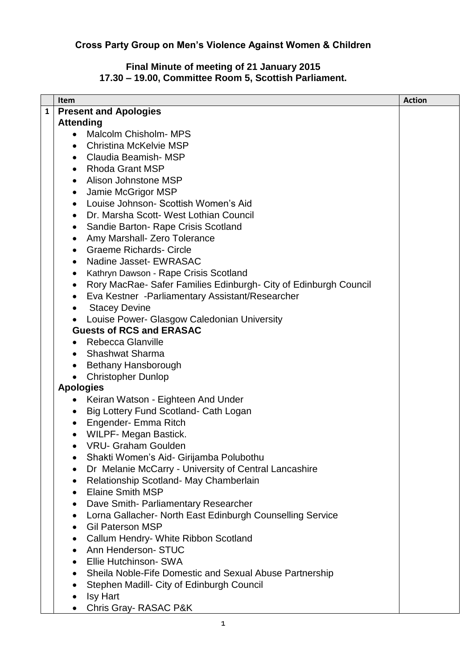## **Cross Party Group on Men's Violence Against Women & Children**

## **Final Minute of meeting of 21 January 2015 17.30 – 19.00, Committee Room 5, Scottish Parliament.**

|              | <b>Item</b>                                                                   | <b>Action</b> |
|--------------|-------------------------------------------------------------------------------|---------------|
| $\mathbf{1}$ | <b>Present and Apologies</b>                                                  |               |
|              | <b>Attending</b>                                                              |               |
|              | <b>Malcolm Chisholm- MPS</b>                                                  |               |
|              | <b>Christina McKelvie MSP</b><br>$\bullet$                                    |               |
|              | Claudia Beamish-MSP<br>$\bullet$                                              |               |
|              | <b>Rhoda Grant MSP</b><br>$\bullet$                                           |               |
|              | Alison Johnstone MSP<br>$\bullet$                                             |               |
|              | Jamie McGrigor MSP<br>$\bullet$                                               |               |
|              | Louise Johnson- Scottish Women's Aid<br>$\bullet$                             |               |
|              | Dr. Marsha Scott- West Lothian Council<br>$\bullet$                           |               |
|              |                                                                               |               |
|              | Sandie Barton- Rape Crisis Scotland<br>$\bullet$                              |               |
|              | Amy Marshall- Zero Tolerance<br>$\bullet$<br><b>Graeme Richards- Circle</b>   |               |
|              | $\bullet$                                                                     |               |
|              | Nadine Jasset- EWRASAC<br>$\bullet$                                           |               |
|              | Kathryn Dawson - Rape Crisis Scotland<br>$\bullet$                            |               |
|              | Rory MacRae- Safer Families Edinburgh- City of Edinburgh Council<br>$\bullet$ |               |
|              | Eva Kestner - Parliamentary Assistant/Researcher<br>$\bullet$                 |               |
|              | <b>Stacey Devine</b><br>$\bullet$                                             |               |
|              | Louise Power- Glasgow Caledonian University                                   |               |
|              | <b>Guests of RCS and ERASAC</b>                                               |               |
|              | Rebecca Glanville                                                             |               |
|              | <b>Shashwat Sharma</b>                                                        |               |
|              | Bethany Hansborough<br>$\bullet$                                              |               |
|              | <b>Christopher Dunlop</b>                                                     |               |
|              | <b>Apologies</b>                                                              |               |
|              | Keiran Watson - Eighteen And Under<br>$\bullet$                               |               |
|              | Big Lottery Fund Scotland- Cath Logan<br>$\bullet$                            |               |
|              | Engender- Emma Ritch<br>$\bullet$                                             |               |
|              | <b>WILPF- Megan Bastick.</b>                                                  |               |
|              | <b>VRU- Graham Goulden</b>                                                    |               |
|              | Shakti Women's Aid- Girijamba Polubothu                                       |               |
|              | Dr Melanie McCarry - University of Central Lancashire<br>$\bullet$            |               |
|              | Relationship Scotland- May Chamberlain<br>٠                                   |               |
|              | <b>Elaine Smith MSP</b><br>$\bullet$                                          |               |
|              | Dave Smith- Parliamentary Researcher<br>$\bullet$                             |               |
|              | Lorna Gallacher- North East Edinburgh Counselling Service<br>٠                |               |
|              | <b>Gil Paterson MSP</b><br>$\bullet$                                          |               |
|              | Callum Hendry- White Ribbon Scotland                                          |               |
|              | Ann Henderson- STUC<br>$\bullet$                                              |               |
|              | Ellie Hutchinson- SWA<br>$\bullet$                                            |               |
|              | Sheila Noble-Fife Domestic and Sexual Abuse Partnership<br>$\bullet$          |               |
|              | Stephen Madill- City of Edinburgh Council                                     |               |
|              |                                                                               |               |
|              | <b>Isy Hart</b>                                                               |               |
|              | Chris Gray-RASAC P&K                                                          |               |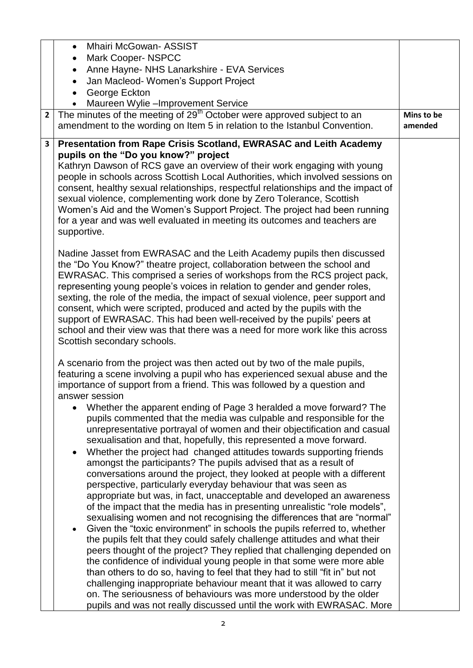| <b>Mhairi McGowan- ASSIST</b><br>$\bullet$                                                                                                                                                                                                                                                                                                                                                                                                                                                                                                                                                                                                                                                                                                                                                                                                                                                                                                                                                                                                                                                                                                                                                                                                                                                                                                                                                                                                                                                                                                                |                                                                                                                                                                                                                                                                                                                                                                                                                                                                             |
|-----------------------------------------------------------------------------------------------------------------------------------------------------------------------------------------------------------------------------------------------------------------------------------------------------------------------------------------------------------------------------------------------------------------------------------------------------------------------------------------------------------------------------------------------------------------------------------------------------------------------------------------------------------------------------------------------------------------------------------------------------------------------------------------------------------------------------------------------------------------------------------------------------------------------------------------------------------------------------------------------------------------------------------------------------------------------------------------------------------------------------------------------------------------------------------------------------------------------------------------------------------------------------------------------------------------------------------------------------------------------------------------------------------------------------------------------------------------------------------------------------------------------------------------------------------|-----------------------------------------------------------------------------------------------------------------------------------------------------------------------------------------------------------------------------------------------------------------------------------------------------------------------------------------------------------------------------------------------------------------------------------------------------------------------------|
|                                                                                                                                                                                                                                                                                                                                                                                                                                                                                                                                                                                                                                                                                                                                                                                                                                                                                                                                                                                                                                                                                                                                                                                                                                                                                                                                                                                                                                                                                                                                                           |                                                                                                                                                                                                                                                                                                                                                                                                                                                                             |
| Jan Macleod-Women's Support Project                                                                                                                                                                                                                                                                                                                                                                                                                                                                                                                                                                                                                                                                                                                                                                                                                                                                                                                                                                                                                                                                                                                                                                                                                                                                                                                                                                                                                                                                                                                       |                                                                                                                                                                                                                                                                                                                                                                                                                                                                             |
| George Eckton                                                                                                                                                                                                                                                                                                                                                                                                                                                                                                                                                                                                                                                                                                                                                                                                                                                                                                                                                                                                                                                                                                                                                                                                                                                                                                                                                                                                                                                                                                                                             |                                                                                                                                                                                                                                                                                                                                                                                                                                                                             |
| Maureen Wylie-Improvement Service                                                                                                                                                                                                                                                                                                                                                                                                                                                                                                                                                                                                                                                                                                                                                                                                                                                                                                                                                                                                                                                                                                                                                                                                                                                                                                                                                                                                                                                                                                                         |                                                                                                                                                                                                                                                                                                                                                                                                                                                                             |
| amendment to the wording on Item 5 in relation to the Istanbul Convention.                                                                                                                                                                                                                                                                                                                                                                                                                                                                                                                                                                                                                                                                                                                                                                                                                                                                                                                                                                                                                                                                                                                                                                                                                                                                                                                                                                                                                                                                                | Mins to be<br>amended                                                                                                                                                                                                                                                                                                                                                                                                                                                       |
| $\mathbf{3}$<br>pupils on the "Do you know?" project                                                                                                                                                                                                                                                                                                                                                                                                                                                                                                                                                                                                                                                                                                                                                                                                                                                                                                                                                                                                                                                                                                                                                                                                                                                                                                                                                                                                                                                                                                      |                                                                                                                                                                                                                                                                                                                                                                                                                                                                             |
| people in schools across Scottish Local Authorities, which involved sessions on<br>consent, healthy sexual relationships, respectful relationships and the impact of<br>sexual violence, complementing work done by Zero Tolerance, Scottish<br>Women's Aid and the Women's Support Project. The project had been running<br>for a year and was well evaluated in meeting its outcomes and teachers are<br>supportive.                                                                                                                                                                                                                                                                                                                                                                                                                                                                                                                                                                                                                                                                                                                                                                                                                                                                                                                                                                                                                                                                                                                                    |                                                                                                                                                                                                                                                                                                                                                                                                                                                                             |
| Nadine Jasset from EWRASAC and the Leith Academy pupils then discussed<br>the "Do You Know?" theatre project, collaboration between the school and<br>EWRASAC. This comprised a series of workshops from the RCS project pack,<br>representing young people's voices in relation to gender and gender roles,<br>sexting, the role of the media, the impact of sexual violence, peer support and<br>consent, which were scripted, produced and acted by the pupils with the<br>support of EWRASAC. This had been well-received by the pupils' peers at<br>school and their view was that there was a need for more work like this across<br>Scottish secondary schools.                                                                                                                                                                                                                                                                                                                                                                                                                                                                                                                                                                                                                                                                                                                                                                                                                                                                                    |                                                                                                                                                                                                                                                                                                                                                                                                                                                                             |
| A scenario from the project was then acted out by two of the male pupils,<br>featuring a scene involving a pupil who has experienced sexual abuse and the<br>importance of support from a friend. This was followed by a question and<br>answer session<br>Whether the apparent ending of Page 3 heralded a move forward? The<br>pupils commented that the media was culpable and responsible for the<br>unrepresentative portrayal of women and their objectification and casual<br>sexualisation and that, hopefully, this represented a move forward.<br>Whether the project had changed attitudes towards supporting friends<br>amongst the participants? The pupils advised that as a result of<br>conversations around the project, they looked at people with a different<br>perspective, particularly everyday behaviour that was seen as<br>appropriate but was, in fact, unacceptable and developed an awareness<br>of the impact that the media has in presenting unrealistic "role models",<br>sexualising women and not recognising the differences that are "normal"<br>Given the "toxic environment" in schools the pupils referred to, whether<br>the pupils felt that they could safely challenge attitudes and what their<br>peers thought of the project? They replied that challenging depended on<br>the confidence of individual young people in that some were more able<br>than others to do so, having to feel that they had to still "fit in" but not<br>challenging inappropriate behaviour meant that it was allowed to carry |                                                                                                                                                                                                                                                                                                                                                                                                                                                                             |
|                                                                                                                                                                                                                                                                                                                                                                                                                                                                                                                                                                                                                                                                                                                                                                                                                                                                                                                                                                                                                                                                                                                                                                                                                                                                                                                                                                                                                                                                                                                                                           | <b>Mark Cooper-NSPCC</b><br>Anne Hayne- NHS Lanarkshire - EVA Services<br>The minutes of the meeting of 29 <sup>th</sup> October were approved subject to an<br>$2^{\circ}$<br>Presentation from Rape Crisis Scotland, EWRASAC and Leith Academy<br>Kathryn Dawson of RCS gave an overview of their work engaging with young<br>on. The seriousness of behaviours was more understood by the older<br>pupils and was not really discussed until the work with EWRASAC. More |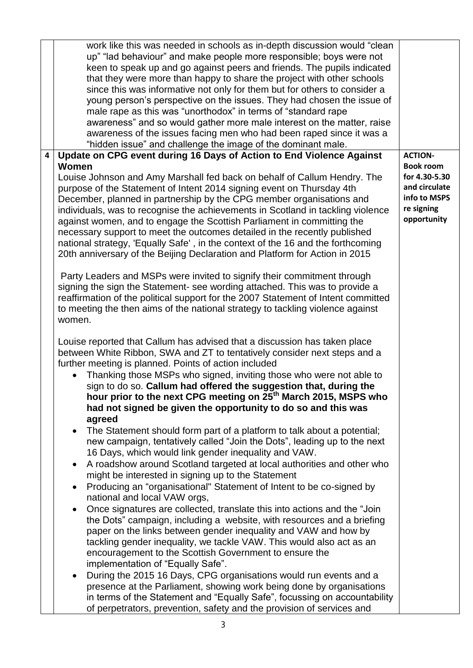|   | work like this was needed in schools as in-depth discussion would "clean<br>up" "lad behaviour" and make people more responsible; boys were not<br>keen to speak up and go against peers and friends. The pupils indicated<br>that they were more than happy to share the project with other schools<br>since this was informative not only for them but for others to consider a<br>young person's perspective on the issues. They had chosen the issue of<br>male rape as this was "unorthodox" in terms of "standard rape<br>awareness" and so would gather more male interest on the matter, raise<br>awareness of the issues facing men who had been raped since it was a<br>"hidden issue" and challenge the image of the dominant male.                                                                                                                                                                                                                                                                                                                                                                                                                                                                                                                                                                                                                                                                                                                                                                                                                                                                                                                                                                                                                                                                                                                                                                                                                               |                                                                                                 |
|---|------------------------------------------------------------------------------------------------------------------------------------------------------------------------------------------------------------------------------------------------------------------------------------------------------------------------------------------------------------------------------------------------------------------------------------------------------------------------------------------------------------------------------------------------------------------------------------------------------------------------------------------------------------------------------------------------------------------------------------------------------------------------------------------------------------------------------------------------------------------------------------------------------------------------------------------------------------------------------------------------------------------------------------------------------------------------------------------------------------------------------------------------------------------------------------------------------------------------------------------------------------------------------------------------------------------------------------------------------------------------------------------------------------------------------------------------------------------------------------------------------------------------------------------------------------------------------------------------------------------------------------------------------------------------------------------------------------------------------------------------------------------------------------------------------------------------------------------------------------------------------------------------------------------------------------------------------------------------------|-------------------------------------------------------------------------------------------------|
| 4 | Update on CPG event during 16 Days of Action to End Violence Against                                                                                                                                                                                                                                                                                                                                                                                                                                                                                                                                                                                                                                                                                                                                                                                                                                                                                                                                                                                                                                                                                                                                                                                                                                                                                                                                                                                                                                                                                                                                                                                                                                                                                                                                                                                                                                                                                                         | <b>ACTION-</b>                                                                                  |
|   | Women<br>Louise Johnson and Amy Marshall fed back on behalf of Callum Hendry. The<br>purpose of the Statement of Intent 2014 signing event on Thursday 4th<br>December, planned in partnership by the CPG member organisations and<br>individuals, was to recognise the achievements in Scotland in tackling violence<br>against women, and to engage the Scottish Parliament in committing the<br>necessary support to meet the outcomes detailed in the recently published<br>national strategy, 'Equally Safe', in the context of the 16 and the forthcoming<br>20th anniversary of the Beijing Declaration and Platform for Action in 2015                                                                                                                                                                                                                                                                                                                                                                                                                                                                                                                                                                                                                                                                                                                                                                                                                                                                                                                                                                                                                                                                                                                                                                                                                                                                                                                               | <b>Book room</b><br>for 4.30-5.30<br>and circulate<br>info to MSPS<br>re signing<br>opportunity |
|   | Party Leaders and MSPs were invited to signify their commitment through<br>signing the sign the Statement- see wording attached. This was to provide a<br>reaffirmation of the political support for the 2007 Statement of Intent committed<br>to meeting the then aims of the national strategy to tackling violence against<br>women.<br>Louise reported that Callum has advised that a discussion has taken place<br>between White Ribbon, SWA and ZT to tentatively consider next steps and a<br>further meeting is planned. Points of action included<br>Thanking those MSPs who signed, inviting those who were not able to<br>sign to do so. Callum had offered the suggestion that, during the<br>hour prior to the next CPG meeting on 25 <sup>th</sup> March 2015, MSPS who<br>had not signed be given the opportunity to do so and this was<br>agreed<br>The Statement should form part of a platform to talk about a potential;<br>new campaign, tentatively called "Join the Dots", leading up to the next<br>16 Days, which would link gender inequality and VAW.<br>A roadshow around Scotland targeted at local authorities and other who<br>$\bullet$<br>might be interested in signing up to the Statement<br>Producing an "organisational" Statement of Intent to be co-signed by<br>$\bullet$<br>national and local VAW orgs,<br>Once signatures are collected, translate this into actions and the "Join"<br>the Dots" campaign, including a website, with resources and a briefing<br>paper on the links between gender inequality and VAW and how by<br>tackling gender inequality, we tackle VAW. This would also act as an<br>encouragement to the Scottish Government to ensure the<br>implementation of "Equally Safe".<br>During the 2015 16 Days, CPG organisations would run events and a<br>presence at the Parliament, showing work being done by organisations<br>in terms of the Statement and "Equally Safe", focussing on accountability |                                                                                                 |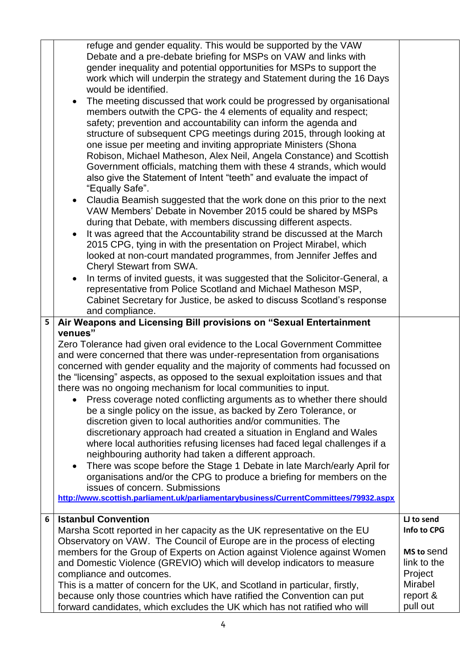| 5 <sub>1</sub> | refuge and gender equality. This would be supported by the VAW<br>Debate and a pre-debate briefing for MSPs on VAW and links with<br>gender inequality and potential opportunities for MSPs to support the<br>work which will underpin the strategy and Statement during the 16 Days<br>would be identified.<br>The meeting discussed that work could be progressed by organisational<br>$\bullet$<br>members outwith the CPG- the 4 elements of equality and respect;<br>safety; prevention and accountability can inform the agenda and<br>structure of subsequent CPG meetings during 2015, through looking at<br>one issue per meeting and inviting appropriate Ministers (Shona<br>Robison, Michael Matheson, Alex Neil, Angela Constance) and Scottish<br>Government officials, matching them with these 4 strands, which would<br>also give the Statement of Intent "teeth" and evaluate the impact of<br>"Equally Safe".<br>Claudia Beamish suggested that the work done on this prior to the next<br>$\bullet$<br>VAW Members' Debate in November 2015 could be shared by MSPs<br>during that Debate, with members discussing different aspects.<br>It was agreed that the Accountability strand be discussed at the March<br>2015 CPG, tying in with the presentation on Project Mirabel, which<br>looked at non-court mandated programmes, from Jennifer Jeffes and<br>Cheryl Stewart from SWA.<br>In terms of invited guests, it was suggested that the Solicitor-General, a<br>$\bullet$<br>representative from Police Scotland and Michael Matheson MSP,<br>Cabinet Secretary for Justice, be asked to discuss Scotland's response<br>and compliance.<br>Air Weapons and Licensing Bill provisions on "Sexual Entertainment<br>venues"<br>Zero Tolerance had given oral evidence to the Local Government Committee<br>and were concerned that there was under-representation from organisations<br>concerned with gender equality and the majority of comments had focussed on<br>the "licensing" aspects, as opposed to the sexual exploitation issues and that<br>there was no ongoing mechanism for local communities to input.<br>Press coverage noted conflicting arguments as to whether there should<br>be a single policy on the issue, as backed by Zero Tolerance, or<br>discretion given to local authorities and/or communities. The<br>discretionary approach had created a situation in England and Wales<br>where local authorities refusing licenses had faced legal challenges if a |                    |
|----------------|--------------------------------------------------------------------------------------------------------------------------------------------------------------------------------------------------------------------------------------------------------------------------------------------------------------------------------------------------------------------------------------------------------------------------------------------------------------------------------------------------------------------------------------------------------------------------------------------------------------------------------------------------------------------------------------------------------------------------------------------------------------------------------------------------------------------------------------------------------------------------------------------------------------------------------------------------------------------------------------------------------------------------------------------------------------------------------------------------------------------------------------------------------------------------------------------------------------------------------------------------------------------------------------------------------------------------------------------------------------------------------------------------------------------------------------------------------------------------------------------------------------------------------------------------------------------------------------------------------------------------------------------------------------------------------------------------------------------------------------------------------------------------------------------------------------------------------------------------------------------------------------------------------------------------------------------------------------------------------------------------------------------------------------------------------------------------------------------------------------------------------------------------------------------------------------------------------------------------------------------------------------------------------------------------------------------------------------------------------------------------------------------------------------------------------------------------------------------------------------------------------------------|--------------------|
|                | neighbouring authority had taken a different approach.<br>There was scope before the Stage 1 Debate in late March/early April for<br>$\bullet$                                                                                                                                                                                                                                                                                                                                                                                                                                                                                                                                                                                                                                                                                                                                                                                                                                                                                                                                                                                                                                                                                                                                                                                                                                                                                                                                                                                                                                                                                                                                                                                                                                                                                                                                                                                                                                                                                                                                                                                                                                                                                                                                                                                                                                                                                                                                                                     |                    |
|                | organisations and/or the CPG to produce a briefing for members on the<br>issues of concern. Submissions                                                                                                                                                                                                                                                                                                                                                                                                                                                                                                                                                                                                                                                                                                                                                                                                                                                                                                                                                                                                                                                                                                                                                                                                                                                                                                                                                                                                                                                                                                                                                                                                                                                                                                                                                                                                                                                                                                                                                                                                                                                                                                                                                                                                                                                                                                                                                                                                            |                    |
|                | http://www.scottish.parliament.uk/parliamentarybusiness/CurrentCommittees/79932.aspx                                                                                                                                                                                                                                                                                                                                                                                                                                                                                                                                                                                                                                                                                                                                                                                                                                                                                                                                                                                                                                                                                                                                                                                                                                                                                                                                                                                                                                                                                                                                                                                                                                                                                                                                                                                                                                                                                                                                                                                                                                                                                                                                                                                                                                                                                                                                                                                                                               |                    |
| 6              | <b>Istanbul Convention</b>                                                                                                                                                                                                                                                                                                                                                                                                                                                                                                                                                                                                                                                                                                                                                                                                                                                                                                                                                                                                                                                                                                                                                                                                                                                                                                                                                                                                                                                                                                                                                                                                                                                                                                                                                                                                                                                                                                                                                                                                                                                                                                                                                                                                                                                                                                                                                                                                                                                                                         | LJ to send         |
|                | Marsha Scott reported in her capacity as the UK representative on the EU<br>Observatory on VAW. The Council of Europe are in the process of electing                                                                                                                                                                                                                                                                                                                                                                                                                                                                                                                                                                                                                                                                                                                                                                                                                                                                                                                                                                                                                                                                                                                                                                                                                                                                                                                                                                                                                                                                                                                                                                                                                                                                                                                                                                                                                                                                                                                                                                                                                                                                                                                                                                                                                                                                                                                                                               | Info to CPG        |
|                | members for the Group of Experts on Action against Violence against Women                                                                                                                                                                                                                                                                                                                                                                                                                                                                                                                                                                                                                                                                                                                                                                                                                                                                                                                                                                                                                                                                                                                                                                                                                                                                                                                                                                                                                                                                                                                                                                                                                                                                                                                                                                                                                                                                                                                                                                                                                                                                                                                                                                                                                                                                                                                                                                                                                                          | MS to send         |
|                | and Domestic Violence (GREVIO) which will develop indicators to measure                                                                                                                                                                                                                                                                                                                                                                                                                                                                                                                                                                                                                                                                                                                                                                                                                                                                                                                                                                                                                                                                                                                                                                                                                                                                                                                                                                                                                                                                                                                                                                                                                                                                                                                                                                                                                                                                                                                                                                                                                                                                                                                                                                                                                                                                                                                                                                                                                                            | link to the        |
|                | compliance and outcomes.                                                                                                                                                                                                                                                                                                                                                                                                                                                                                                                                                                                                                                                                                                                                                                                                                                                                                                                                                                                                                                                                                                                                                                                                                                                                                                                                                                                                                                                                                                                                                                                                                                                                                                                                                                                                                                                                                                                                                                                                                                                                                                                                                                                                                                                                                                                                                                                                                                                                                           | Project<br>Mirabel |
|                | This is a matter of concern for the UK, and Scotland in particular, firstly,<br>because only those countries which have ratified the Convention can put                                                                                                                                                                                                                                                                                                                                                                                                                                                                                                                                                                                                                                                                                                                                                                                                                                                                                                                                                                                                                                                                                                                                                                                                                                                                                                                                                                                                                                                                                                                                                                                                                                                                                                                                                                                                                                                                                                                                                                                                                                                                                                                                                                                                                                                                                                                                                            | report &           |
|                | forward candidates, which excludes the UK which has not ratified who will                                                                                                                                                                                                                                                                                                                                                                                                                                                                                                                                                                                                                                                                                                                                                                                                                                                                                                                                                                                                                                                                                                                                                                                                                                                                                                                                                                                                                                                                                                                                                                                                                                                                                                                                                                                                                                                                                                                                                                                                                                                                                                                                                                                                                                                                                                                                                                                                                                          | pull out           |